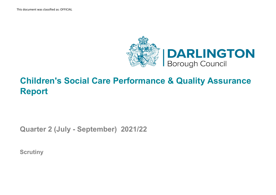This document was classified as: OFFICIAL#



## **Children's Social Care Performance & Quality Assurance Report**

**Quarter 2 (July - September) 2021/22**

**Scrutiny**